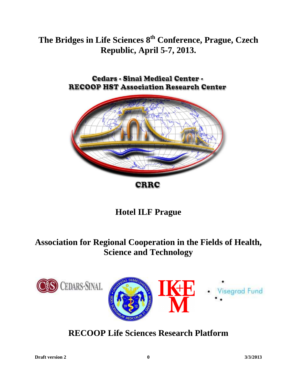### **The Bridges in Life Sciences 8th Conference, Prague, Czech Republic, April 5-7, 2013.**

Cedars - Sinai Medical Center -**RECOOP HST Association Research Center** 

**CRRC** 

# **Hotel ILF Prague**

### **Association for Regional Cooperation in the Fields of Health, Science and Technology**





## **RECOOP Life Sciences Research Platform**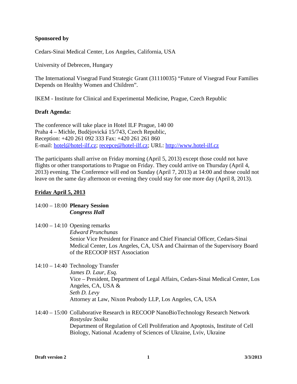#### **Sponsored by**

Cedars-Sinai Medical Center, Los Angeles, California, USA

University of Debrecen, Hungary

The International Visegrad Fund Strategic Grant (31110035) "Future of Visegrad Four Families Depends on Healthy Women and Children".

IKEM - Institute for Clinical and Experimental Medicine, Prague, Czech Republic

#### **Draft Agenda:**

The conference will take place in Hotel ILF Prague, 140 00 Praha 4 – Michle, Budějovická 15/743, Czech Republic, Reception: +420 261 092 333 Fax: +420 261 261 860 E-mail: hotel@hotel-ilf.cz; recepce@hotel-ilf.cz; URL: http://www.hotel-ilf.cz

The participants shall arrive on Friday morning (April 5, 2013) except those could not have flights or other transportations to Prague on Friday. They could arrive on Thursday (April 4, 2013) evening. The Conference will end on Sunday (April 7, 2013) at 14:00 and those could not leave on the same day afternoon or evening they could stay for one more day (April 8, 2013).

#### **Friday April 5, 2013**

#### 14:00 – 18:00 **Plenary Session**  *Congress Hall*

14:00 – 14:10 Opening remarks

*Edward Prunchunas* 

Senior Vice President for Finance and Chief Financial Officer, Cedars-Sinai Medical Center, Los Angeles, CA, USA and Chairman of the Supervisory Board of the RECOOP HST Association

14:10 – 14:40 Technology Transfer

*James D. Laur, Esq.* 

Vice – President, Department of Legal Affairs, Cedars-Sinai Medical Center, Los Angeles, CA, USA & *Seth D. Levy*  Attorney at Law, Nixon Peabody LLP, Los Angeles, CA, USA

14:40 – 15:00 Collaborative Research in RECOOP NanoBioTechnology Research Network *Rostyslav Stoika*  Department of Regulation of Cell Proliferation and Apoptosis, Institute of Cell Biology, National Academy of Sciences of Ukraine, Lviv, Ukraine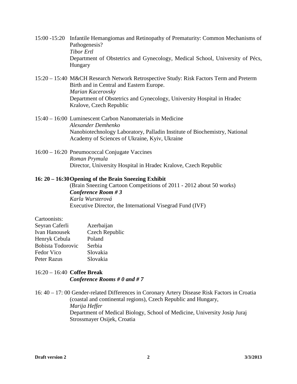- 15:00 -15:20 Infantile Hemangiomas and Retinopathy of Prematurity: Common Mechanisms of Pathogenesis? *Tibor Ertl*  Department of Obstetrics and Gynecology, Medical School, University of Pécs, Hungary
- 15:20 15:40 M&CH Research Network Retrospective Study: Risk Factors Term and Preterm Birth and in Central and Eastern Europe. *Marian Kacerovsky* Department of Obstetrics and Gynecology, University Hospital in Hradec Kralove, Czech Republic
- 15:40 16:00 Luminescent Carbon Nanomaterials in Medicine *Alexander Demhenko* Nanobiotechnology Laboratory, Palladin Institute of Biochemistry, National Academy of Sciences of Ukraine, Kyiv, Ukraine
- 16:00 16:20 Pneumococcal Conjugate Vaccines *Roman Prymula*  Director, University Hospital in Hradec Kralove, Czech Republic

#### **16: 20 – 16:30 Opening of the Brain Sneezing Exhibit**

(Brain Sneezing Cartoon Competitions of 2011 - 2012 about 50 works) *Conference Room # 3 Karla Wursterová*  Executive Director, the International Visegrad Fund (IVF)

Cartoonists:

| Azerbaijan     |
|----------------|
| Czech Republic |
| Poland         |
| Serbia         |
| Slovakia       |
| Slovakia       |
|                |

#### 16:20 – 16:40 **Coffee Break** *Conference Rooms # 0 and # 7*

16: 40 – 17: 00 Gender-related Differences in Coronary Artery Disease Risk Factors in Croatia (coastal and continental regions), Czech Republic and Hungary, *Marija Heffer*  Department of Medical Biology, School of Medicine, University Josip Juraj Strossmayer Osijek, Croatia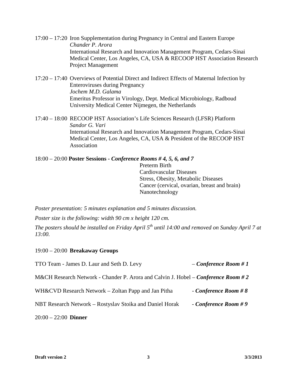- 17:00 17:20 Iron Supplementation during Pregnancy in Central and Eastern Europe *Chander P. Arora*  International Research and Innovation Management Program, Cedars-Sinai Medical Center, Los Angeles, CA, USA & RECOOP HST Association Research Project Management
- 17:20 17:40 Overviews of Potential Direct and Indirect Effects of Maternal Infection by Enteroviruses during Pregnancy *Jochem M.D. Galama*  Emeritus Professor in Virology, Dept. Medical Microbiology, Radboud University Medical Center Nijmegen, the Netherlands
- 17:40 18:00 RECOOP HST Association's Life Sciences Research (LFSR) Platform *Sandor G. Vari* International Research and Innovation Management Program, Cedars-Sinai Medical Center, Los Angeles, CA, USA & President of the RECOOP HST Association
- 18:00 20:00 **Poster Sessions** *Conference Rooms # 4, 5, 6, and 7* Preterm Birth Cardiovascular Diseases Stress, Obesity, Metabolic Diseases Cancer (cervical, ovarian, breast and brain) Nanotechnology

*Poster presentation: 5 minutes explanation and 5 minutes discussion.* 

*Poster size is the following: width 90 cm x height 120 cm.* 

*The posters should be installed on Friday April 5th until 14:00 and removed on Sunday April 7 at 13:00.* 

#### 19:00 – 20:00 **Breakaway Groups**

| TTO Team - James D. Laur and Seth D. Levy                                         | $-$ Conference Room # 1 |
|-----------------------------------------------------------------------------------|-------------------------|
| M&CH Research Network - Chander P. Arora and Calvin J. Hobel – Conference Room #2 |                         |
| WH&CVD Research Network – Zoltan Papp and Jan Pitha                               | - Conference Room #8    |
| NBT Research Network – Rostyslav Stoika and Daniel Horak                          | - Conference Room #9    |
|                                                                                   |                         |

20:00 – 22:00 **Dinner**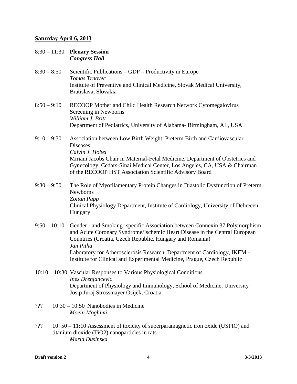#### **Saturday April 6, 2013**

- 8:30 11:30 **Plenary Session**  *Congress Hall*
- $8:30 8:50$  Scientific Publications GDP Productivity in Europe *Tomas Trnovec*  Institute of Preventive and Clinical Medicine, Slovak Medical University, Bratislava, Slovakia
- 8:50 9:10 RECOOP Mother and Child Health Research Network Cytomegalovirus Screening in Newborns *William J. Britt*  Department of Pediatrics, University of Alabama- Birmingham, AL, USA
- 9:10 9:30 Association between Low Birth Weight, Preterm Birth and Cardiovascular **Diseases** *Calvin J. Hobel*  Miriam Jacobs Chair in Maternal-Fetal Medicine, Department of Obstetrics and Gynecology, Cedars-Sinai Medical Center, Los Angeles, CA, USA & Chairman of the RECOOP HST Association Scientific Advisory Board
- 9:30 9:50 The Role of Myofilamentary Protein Changes in Diastolic Dysfunction of Preterm Newborns *Zoltan Papp*  Clinical Physiology Department, Institute of Cardiology, University of Debrecen, Hungary
- 9:50 10:10 Gender and Smoking- specific Association between Connexin 37 Polymorphism and Acute Coronary Syndrome/Ischemic Heart Disease in the Central European Countries (Croatia, Czech Republic, Hungary and Romania) *Jan Pitha*  Laboratory for Atherosclerosis Research, Department of Cardiology, IKEM - Institute for Clinical and Experimental Medicine, Prague, Czech Republic
- 10:10 10:30 Vascular Responses to Various Physiological Conditions *Ines Drenjancevic* Department of Physiology and Immunology, School of Medicine, University Josip Juraj Strossmayer Osijek, Croatia
- ??? 10:30 10:50 Nanobodies in Medicine *Moein Moghimi*
- ??? 10: 50 11:10 Assessment of toxicity of superparamagnetic iron oxide (USPIO) and titanium dioxide (TiO2) nanoparticles in rats *Maria Dusinska*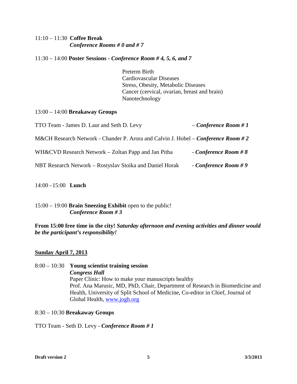#### 11:10 – 11:30 **Coffee Break** *Conference Rooms # 0 and # 7*

#### 11:30 – 14:00 **Poster Sessions -** *Conference Room # 4, 5, 6, and 7*

Preterm Birth Cardiovascular Diseases Stress, Obesity, Metabolic Diseases Cancer (cervical, ovarian, breast and brain) Nanotechnology

#### 13:00 – 14:00 **Breakaway Groups**

| TTO Team - James D. Laur and Seth D. Levy                                         | $-$ Conference Room # 1 |
|-----------------------------------------------------------------------------------|-------------------------|
| M&CH Research Network - Chander P. Arora and Calvin J. Hobel – Conference Room #2 |                         |
| WH&CVD Research Network – Zoltan Papp and Jan Pitha                               | - Conference Room # 8   |
| NBT Research Network - Rostyslav Stoika and Daniel Horak                          | - Conference Room #9    |

14:00 - 15:00 **Lunch** 

15:00 – 19:00 **Brain Sneezing Exhibit** open to the public! *Conference Room # 3* 

**From 15:00 free time in the city!** *Saturday afternoon and evening activities and dinner would be the participant's responsibility!* 

#### **Sunday April 7, 2013**

### 8:00 – 10:30 **Young scientist training session** *Congress Hall*

Paper Clinic: How to make your manuscripts healthy Prof. Ana Marusic, MD, PhD, Chair, Department of Research in Biomedicine and Health, University of Split School of Medicine, Co-editor in Chief, Journal of Global Health, www.jogh.org

#### 8:30 – 10:30 **Breakaway Groups**

TTO Team - Seth D. Levy - *Conference Room # 1*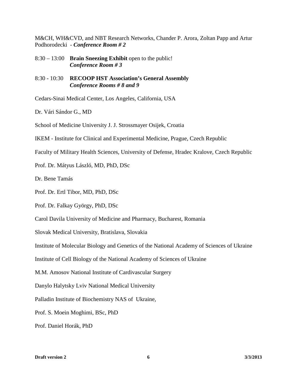M&CH, WH&CVD, and NBT Research Networks, Chander P. Arora, Zoltan Papp and Artur Podhorodecki - *Conference Room # 2*

- 8:30 13:00 **Brain Sneezing Exhibit** open to the public! *Conference Room # 3*
- 8:30 10:30 **RECOOP HST Association's General Assembly** *Conference Rooms # 8 and 9*

Cedars-Sinai Medical Center, Los Angeles, California, USA

Dr. Vári Sándor G., MD

School of Medicine University J. J. Strossmayer Osijek, Croatia

IKEM - Institute for Clinical and Experimental Medicine, Prague, Czech Republic

Faculty of Military Health Sciences, University of Defense, Hradec Kralove, Czech Republic

Prof. Dr. Mátyus László, MD, PhD, DSc

Dr. Bene Tamás

Prof. Dr. Ertl Tibor, MD, PhD, DSc

Prof. Dr. Falkay György, PhD, DSc

Carol Davila University of Medicine and Pharmacy, Bucharest, Romania

Slovak Medical University, Bratislava, Slovakia

Institute of Molecular Biology and Genetics of the National Academy of Sciences of Ukraine

Institute of Cell Biology of the National Academy of Sciences of Ukraine

M.M. Amosov National Institute of Cardivascular Surgery

Danylo Halytsky Lviv National Medical University

Palladin Institute of Biochemistry NAS of Ukraine,

Prof. S. Moein Moghimi, BSc, PhD

Prof. Daniel Horák, PhD